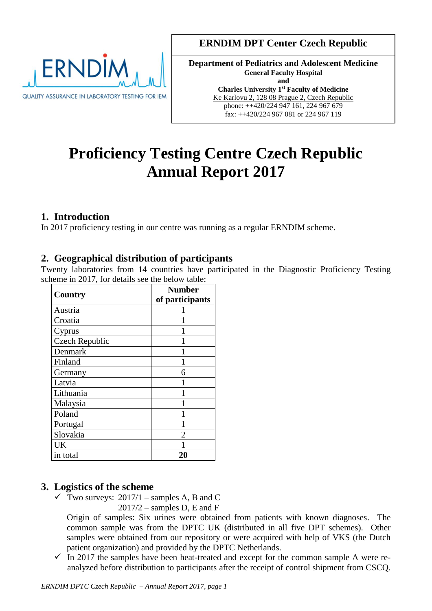

# **ERNDIM DPT Center Czech Republic**

**Department of Pediatrics and Adolescent Medicine General Faculty Hospital and Charles University 1st Faculty of Medicine** Ke Karlovu 2, 128 08 Prague 2, Czech Republic phone: ++420/224 947 161, 224 967 679 fax: ++420/224 967 081 or 224 967 119

# **Proficiency Testing Centre Czech Republic Annual Report 2017**

# **1. Introduction**

In 2017 proficiency testing in our centre was running as a regular ERNDIM scheme.

# **2. Geographical distribution of participants**

Twenty laboratories from 14 countries have participated in the Diagnostic Proficiency Testing scheme in 2017, for details see the below table:

| <b>Country</b>        | <b>Number</b>   |
|-----------------------|-----------------|
|                       | of participants |
| Austria               |                 |
| Croatia               |                 |
| Cyprus                |                 |
| <b>Czech Republic</b> |                 |
| Denmark               |                 |
| Finland               |                 |
| Germany               | 6               |
| Latvia                |                 |
| Lithuania             |                 |
| Malaysia              |                 |
| Poland                |                 |
| Portugal              |                 |
| Slovakia              | 2               |
| UK                    |                 |
| in total              | 20              |

# **3. Logistics of the scheme**

 $\checkmark$  Two surveys: 2017/1 – samples A, B and C  $2017/2$  – samples D, E and F

Origin of samples: Six urines were obtained from patients with known diagnoses. The common sample was from the DPTC UK (distributed in all five DPT schemes). Other samples were obtained from our repository or were acquired with help of VKS (the Dutch patient organization) and provided by the DPTC Netherlands.

 $\checkmark$  In 2017 the samples have been heat-treated and except for the common sample A were reanalyzed before distribution to participants after the receipt of control shipment from CSCQ.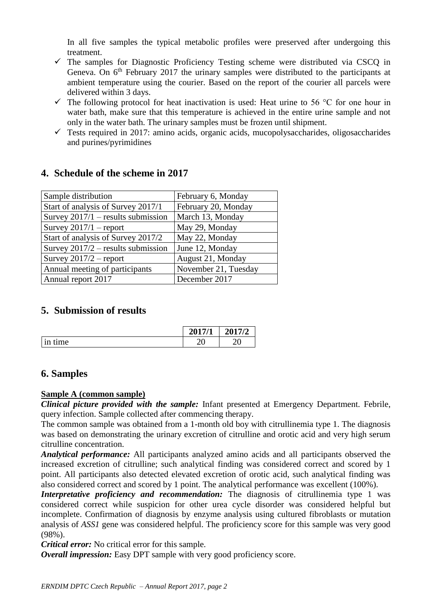In all five samples the typical metabolic profiles were preserved after undergoing this treatment.

- $\checkmark$  The samples for Diagnostic Proficiency Testing scheme were distributed via CSCO in Geneva. On  $6<sup>th</sup>$  February 2017 the urinary samples were distributed to the participants at ambient temperature using the courier. Based on the report of the courier all parcels were delivered within 3 days.
- $\checkmark$  The following protocol for heat inactivation is used: Heat urine to 56 °C for one hour in water bath, make sure that this temperature is achieved in the entire urine sample and not only in the water bath. The urinary samples must be frozen until shipment.
- $\checkmark$  Tests required in 2017: amino acids, organic acids, mucopolysaccharides, oligosaccharides and purines/pyrimidines

| Sample distribution                  | February 6, Monday   |
|--------------------------------------|----------------------|
| Start of analysis of Survey 2017/1   | February 20, Monday  |
| Survey $2017/1$ – results submission | March 13, Monday     |
| Survey $2017/1$ – report             | May 29, Monday       |
| Start of analysis of Survey 2017/2   | May 22, Monday       |
| Survey $2017/2$ – results submission | June 12, Monday      |
| Survey $2017/2$ – report             | August 21, Monday    |
| Annual meeting of participants       | November 21, Tuesday |
| Annual report 2017                   | December 2017        |

# **4. Schedule of the scheme in 2017**

# **5. Submission of results**

|                      | 2017/1 | 2017/2 |
|----------------------|--------|--------|
| $\bullet$<br>In time | ∠∪     | ∩∩     |

# **6. Samples**

## **Sample A (common sample)**

*Clinical picture provided with the sample:* Infant presented at Emergency Department. Febrile, query infection. Sample collected after commencing therapy.

The common sample was obtained from a 1-month old boy with citrullinemia type 1. The diagnosis was based on demonstrating the urinary excretion of citrulline and orotic acid and very high serum citrulline concentration.

*Analytical performance:* All participants analyzed amino acids and all participants observed the increased excretion of citrulline; such analytical finding was considered correct and scored by 1 point. All participants also detected elevated excretion of orotic acid, such analytical finding was also considered correct and scored by 1 point. The analytical performance was excellent (100%).

*Interpretative proficiency and recommendation:* The diagnosis of citrullinemia type 1 was considered correct while suspicion for other urea cycle disorder was considered helpful but incomplete. Confirmation of diagnosis by enzyme analysis using cultured fibroblasts or mutation analysis of *ASS1* gene was considered helpful. The proficiency score for this sample was very good (98%).

*Critical error:* No critical error for this sample.

*Overall impression:* Easy DPT sample with very good proficiency score.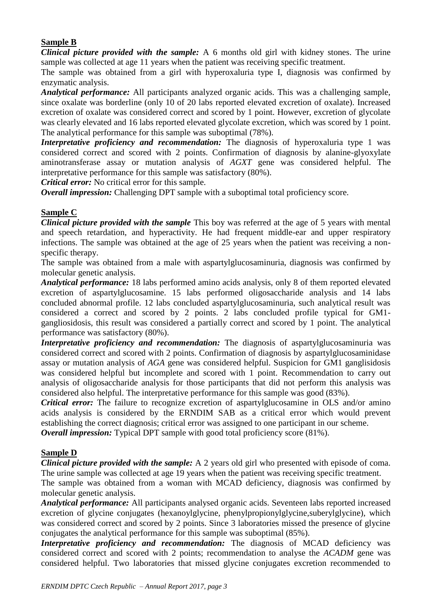#### **Sample B**

*Clinical picture provided with the sample:* A 6 months old girl with kidney stones. The urine sample was collected at age 11 years when the patient was receiving specific treatment.

The sample was obtained from a girl with hyperoxaluria type I, diagnosis was confirmed by enzymatic analysis.

*Analytical performance:* All participants analyzed organic acids. This was a challenging sample, since oxalate was borderline (only 10 of 20 labs reported elevated excretion of oxalate). Increased excretion of oxalate was considered correct and scored by 1 point. However, excretion of glycolate was clearly elevated and 16 labs reported elevated glycolate excretion, which was scored by 1 point. The analytical performance for this sample was suboptimal (78%).

*Interpretative proficiency and recommendation:* The diagnosis of hyperoxaluria type 1 was considered correct and scored with 2 points. Confirmation of diagnosis by alanine-glyoxylate aminotransferase assay or mutation analysis of *AGXT* gene was considered helpful. The interpretative performance for this sample was satisfactory (80%).

*Critical error:* No critical error for this sample.

*Overall impression:* Challenging DPT sample with a suboptimal total proficiency score.

#### **Sample C**

*Clinical picture provided with the sample* This boy was referred at the age of 5 years with mental and speech retardation, and hyperactivity. He had frequent middle-ear and upper respiratory infections. The sample was obtained at the age of 25 years when the patient was receiving a nonspecific therapy.

The sample was obtained from a male with aspartylglucosaminuria, diagnosis was confirmed by molecular genetic analysis.

*Analytical performance:* 18 labs performed amino acids analysis, only 8 of them reported elevated excretion of aspartylglucosamine. 15 labs performed oligosaccharide analysis and 14 labs concluded abnormal profile. 12 labs concluded aspartylglucosaminuria, such analytical result was considered a correct and scored by 2 points. 2 labs concluded profile typical for GM1 gangliosidosis, this result was considered a partially correct and scored by 1 point. The analytical performance was satisfactory (80%).

*Interpretative proficiency and recommendation:* The diagnosis of aspartylglucosaminuria was considered correct and scored with 2 points. Confirmation of diagnosis by aspartylglucosaminidase assay or mutation analysis of *AGA* gene was considered helpful. Suspicion for GM1 ganglisidosis was considered helpful but incomplete and scored with 1 point. Recommendation to carry out analysis of oligosaccharide analysis for those participants that did not perform this analysis was considered also helpful. The interpretative performance for this sample was good (83%).

*Critical error:* The failure to recognize excretion of aspartylglucosamine in OLS and/or amino acids analysis is considered by the ERNDIM SAB as a critical error which would prevent establishing the correct diagnosis; critical error was assigned to one participant in our scheme.

*Overall impression:* Typical DPT sample with good total proficiency score (81%).

#### **Sample D**

*Clinical picture provided with the sample:* A 2 years old girl who presented with episode of coma. The urine sample was collected at age 19 years when the patient was receiving specific treatment.

The sample was obtained from a woman with MCAD deficiency, diagnosis was confirmed by molecular genetic analysis.

*Analytical performance:* All participants analysed organic acids. Seventeen labs reported increased excretion of glycine conjugates (hexanoylglycine, phenylpropionylglycine, suberylglycine), which was considered correct and scored by 2 points. Since 3 laboratories missed the presence of glycine conjugates the analytical performance for this sample was suboptimal (85%).

*Interpretative proficiency and recommendation:* The diagnosis of MCAD deficiency was considered correct and scored with 2 points; recommendation to analyse the *ACADM* gene was considered helpful. Two laboratories that missed glycine conjugates excretion recommended to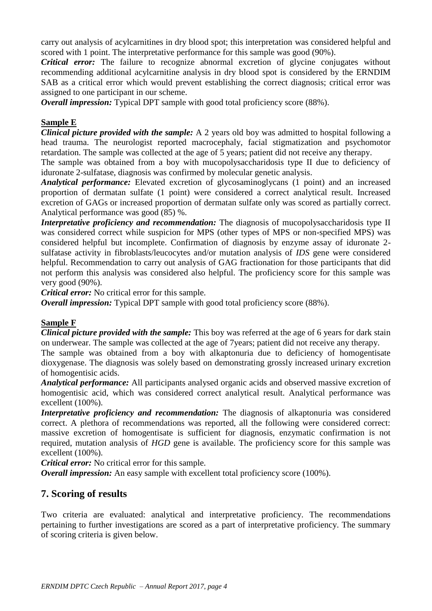carry out analysis of acylcarnitines in dry blood spot; this interpretation was considered helpful and scored with 1 point. The interpretative performance for this sample was good (90%).

*Critical error:* The failure to recognize abnormal excretion of glycine conjugates without recommending additional acylcarnitine analysis in dry blood spot is considered by the ERNDIM SAB as a critical error which would prevent establishing the correct diagnosis; critical error was assigned to one participant in our scheme.

*Overall impression:* Typical DPT sample with good total proficiency score (88%).

#### **Sample E**

*Clinical picture provided with the sample:* A 2 years old boy was admitted to hospital following a head trauma. The neurologist reported macrocephaly, facial stigmatization and psychomotor retardation. The sample was collected at the age of 5 years; patient did not receive any therapy.

The sample was obtained from a boy with mucopolysaccharidosis type II due to deficiency of iduronate 2-sulfatase, diagnosis was confirmed by molecular genetic analysis.

*Analytical performance:* Elevated excretion of glycosaminoglycans (1 point) and an increased proportion of dermatan sulfate (1 point) were considered a correct analytical result. Increased excretion of GAGs or increased proportion of dermatan sulfate only was scored as partially correct. Analytical performance was good (85) %.

*Interpretative proficiency and recommendation:* The diagnosis of mucopolysaccharidosis type II was considered correct while suspicion for MPS (other types of MPS or non-specified MPS) was considered helpful but incomplete. Confirmation of diagnosis by enzyme assay of iduronate 2 sulfatase activity in fibroblasts/leucocytes and/or mutation analysis of *IDS* gene were considered helpful. Recommendation to carry out analysis of GAG fractionation for those participants that did not perform this analysis was considered also helpful. The proficiency score for this sample was very good (90%).

*Critical error:* No critical error for this sample.

*Overall impression:* Typical DPT sample with good total proficiency score (88%).

#### **Sample F**

*Clinical picture provided with the sample:* This boy was referred at the age of 6 years for dark stain on underwear. The sample was collected at the age of 7years; patient did not receive any therapy.

The sample was obtained from a boy with alkaptonuria due to deficiency of homogentisate dioxygenase. The diagnosis was solely based on demonstrating grossly increased urinary excretion of homogentisic acids.

*Analytical performance:* All participants analysed organic acids and observed massive excretion of homogentisic acid, which was considered correct analytical result. Analytical performance was excellent (100%).

*Interpretative proficiency and recommendation:* The diagnosis of alkaptonuria was considered correct. A plethora of recommendations was reported, all the following were considered correct: massive excretion of homogentisate is sufficient for diagnosis, enzymatic confirmation is not required, mutation analysis of *HGD* gene is available. The proficiency score for this sample was excellent (100%).

*Critical error:* No critical error for this sample.

*Overall impression:* An easy sample with excellent total proficiency score (100%).

## **7. Scoring of results**

Two criteria are evaluated: analytical and interpretative proficiency. The recommendations pertaining to further investigations are scored as a part of interpretative proficiency. The summary of scoring criteria is given below.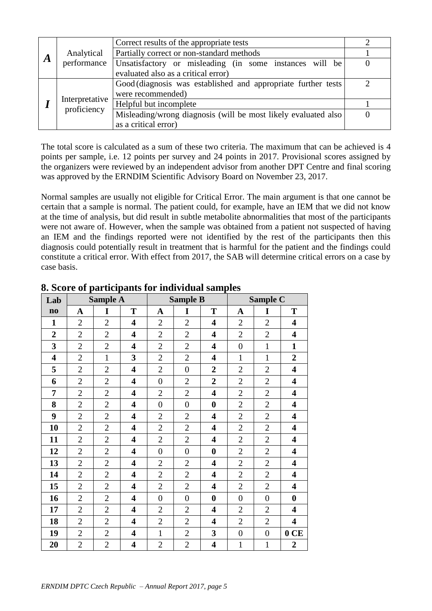|                  | Correct results of the appropriate tests |                                                                |  |  |  |  |  |  |
|------------------|------------------------------------------|----------------------------------------------------------------|--|--|--|--|--|--|
|                  | Analytical                               | Partially correct or non-standard methods                      |  |  |  |  |  |  |
| $\boldsymbol{A}$ | performance                              | Unsatisfactory or misleading (in some instances will be        |  |  |  |  |  |  |
|                  |                                          | evaluated also as a critical error)                            |  |  |  |  |  |  |
|                  |                                          | Good (diagnosis was established and appropriate further tests) |  |  |  |  |  |  |
|                  |                                          | were recommended)                                              |  |  |  |  |  |  |
|                  | Interpretative<br>proficiency            | Helpful but incomplete                                         |  |  |  |  |  |  |
|                  |                                          | Misleading/wrong diagnosis (will be most likely evaluated also |  |  |  |  |  |  |
|                  |                                          | as a critical error)                                           |  |  |  |  |  |  |

The total score is calculated as a sum of these two criteria. The maximum that can be achieved is 4 points per sample, i.e. 12 points per survey and 24 points in 2017. Provisional scores assigned by the organizers were reviewed by an independent advisor from another DPT Centre and final scoring was approved by the ERNDIM Scientific Advisory Board on November 23, 2017.

Normal samples are usually not eligible for Critical Error. The main argument is that one cannot be certain that a sample is normal. The patient could, for example, have an IEM that we did not know at the time of analysis, but did result in subtle metabolite abnormalities that most of the participants were not aware of. However, when the sample was obtained from a patient not suspected of having an IEM and the findings reported were not identified by the rest of the participants then this diagnosis could potentially result in treatment that is harmful for the patient and the findings could constitute a critical error. With effect from 2017, the SAB will determine critical errors on a case by case basis.

| Lab                     |                | <b>Sample A</b><br><b>Sample C</b><br><b>Sample B</b> |                         |                |                |                         |                  |                  |                         |
|-------------------------|----------------|-------------------------------------------------------|-------------------------|----------------|----------------|-------------------------|------------------|------------------|-------------------------|
| $\mathbf{n}\mathbf{o}$  | $\mathbf A$    | I                                                     | T                       | A              | I              | T                       | A                | I                | T                       |
| $\mathbf{1}$            | $\overline{2}$ | $\overline{2}$                                        | 4                       | $\overline{2}$ | $\overline{2}$ | 4                       | $\overline{2}$   | $\overline{2}$   | $\overline{\mathbf{4}}$ |
| $\boldsymbol{2}$        | $\overline{2}$ | $\overline{2}$                                        | $\overline{\mathbf{4}}$ | $\overline{2}$ | $\overline{2}$ | 4                       | $\overline{2}$   | $\overline{2}$   | $\overline{\mathbf{4}}$ |
| 3                       | $\overline{2}$ | $\overline{2}$                                        | $\overline{\mathbf{4}}$ | $\overline{c}$ | $\overline{2}$ | 4                       | $\overline{0}$   | $\mathbf{1}$     | $\mathbf{1}$            |
| $\overline{\mathbf{4}}$ | $\overline{2}$ | $\mathbf{1}$                                          | 3                       | $\overline{2}$ | $\overline{2}$ | 4                       | $\mathbf{1}$     | $\mathbf{1}$     | $\overline{2}$          |
| 5                       | $\overline{2}$ | $\overline{2}$                                        | $\overline{\mathbf{4}}$ | $\overline{2}$ | $\overline{0}$ | $\overline{2}$          | $\overline{2}$   | $\overline{2}$   | $\overline{\mathbf{4}}$ |
| 6                       | $\overline{2}$ | $\overline{2}$                                        | $\overline{\mathbf{4}}$ | $\overline{0}$ | $\overline{2}$ | $\overline{2}$          | $\overline{2}$   | $\overline{2}$   | $\overline{\mathbf{4}}$ |
| 7                       | $\overline{2}$ | $\overline{2}$                                        | $\overline{\mathbf{4}}$ | $\overline{c}$ | $\overline{2}$ | 4                       | $\overline{2}$   | $\overline{2}$   | $\overline{\mathbf{4}}$ |
| 8                       | $\overline{2}$ | $\overline{2}$                                        | $\overline{\mathbf{4}}$ | $\overline{0}$ | $\overline{0}$ | $\boldsymbol{0}$        | $\overline{2}$   | $\overline{2}$   | $\overline{\mathbf{4}}$ |
| 9                       | $\overline{2}$ | $\overline{2}$                                        | 4                       | $\overline{2}$ | $\overline{2}$ | 4                       | $\overline{2}$   | $\overline{2}$   | $\overline{\mathbf{4}}$ |
| 10                      | $\overline{2}$ | $\overline{2}$                                        | $\overline{\mathbf{4}}$ | $\overline{2}$ | $\overline{2}$ | 4                       | $\overline{2}$   | $\overline{2}$   | $\overline{\mathbf{4}}$ |
| 11                      | $\overline{2}$ | $\overline{2}$                                        | $\overline{\mathbf{4}}$ | $\overline{2}$ | $\overline{2}$ | $\overline{\mathbf{4}}$ | $\overline{2}$   | $\overline{2}$   | $\overline{\mathbf{4}}$ |
| 12                      | $\overline{2}$ | $\overline{2}$                                        | 4                       | $\overline{0}$ | $\overline{0}$ | $\boldsymbol{0}$        | $\overline{2}$   | $\overline{2}$   | $\overline{\mathbf{4}}$ |
| 13                      | $\overline{2}$ | $\overline{2}$                                        | $\overline{\mathbf{4}}$ | $\overline{2}$ | $\overline{2}$ | 4                       | $\overline{2}$   | $\overline{2}$   | $\overline{\mathbf{4}}$ |
| 14                      | $\overline{2}$ | $\overline{2}$                                        | 4                       | $\overline{2}$ | $\overline{2}$ | 4                       | $\overline{2}$   | $\overline{2}$   | $\overline{\mathbf{4}}$ |
| 15                      | $\overline{2}$ | $\overline{2}$                                        | $\overline{\mathbf{4}}$ | $\overline{2}$ | $\overline{2}$ | 4                       | $\overline{2}$   | $\overline{2}$   | $\overline{\mathbf{4}}$ |
| 16                      | $\overline{2}$ | $\overline{2}$                                        | $\overline{\mathbf{4}}$ | $\overline{0}$ | $\overline{0}$ | $\bf{0}$                | $\overline{0}$   | $\overline{0}$   | $\boldsymbol{0}$        |
| 17                      | $\overline{2}$ | $\overline{2}$                                        | $\overline{\mathbf{4}}$ | $\overline{c}$ | $\overline{2}$ | 4                       | $\overline{2}$   | $\overline{c}$   | $\overline{\mathbf{4}}$ |
| 18                      | $\overline{2}$ | $\overline{2}$                                        | 4                       | $\overline{2}$ | $\overline{2}$ | 4                       | $\overline{2}$   | $\mathfrak{2}$   | $\overline{\mathbf{4}}$ |
| 19                      | $\overline{2}$ | $\overline{2}$                                        | 4                       | $\mathbf{1}$   | $\overline{2}$ | 3                       | $\boldsymbol{0}$ | $\boldsymbol{0}$ | 0CE                     |
| 20                      | $\overline{2}$ | $\overline{2}$                                        | $\overline{\mathbf{4}}$ | $\overline{2}$ | $\overline{2}$ | $\overline{\mathbf{4}}$ | $\mathbf{1}$     | $\mathbf{1}$     | $\overline{2}$          |

## **8. Score of participants for individual samples**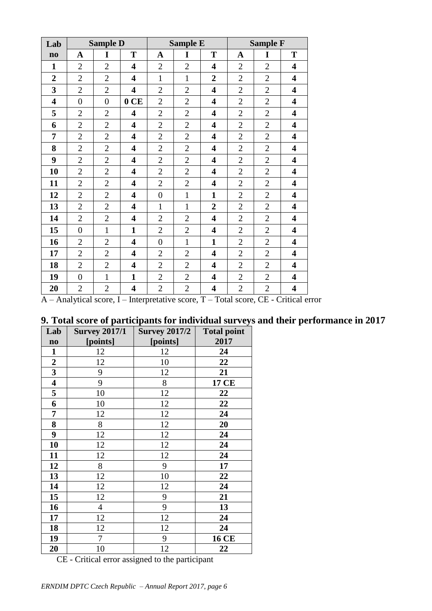| Lab                     |                | <b>Sample D</b> |                         |                  | <b>Sample E</b> |                         |                | <b>Sample F</b> |                         |
|-------------------------|----------------|-----------------|-------------------------|------------------|-----------------|-------------------------|----------------|-----------------|-------------------------|
| $\mathbf{n}\mathbf{o}$  | $\mathbf A$    | I               | T                       | $\mathbf A$      | I               | T                       | $\mathbf A$    | I               | T                       |
| $\mathbf{1}$            | $\overline{2}$ | $\overline{2}$  | 4                       | $\overline{2}$   | $\overline{2}$  | $\overline{\mathbf{4}}$ | $\overline{2}$ | $\overline{2}$  | $\overline{\mathbf{4}}$ |
| $\overline{2}$          | $\overline{2}$ | $\overline{2}$  | $\overline{\mathbf{4}}$ | $\mathbf{1}$     | $\mathbf{1}$    | $\overline{2}$          | $\overline{2}$ | $\overline{2}$  | 4                       |
| 3                       | $\overline{2}$ | $\overline{2}$  | $\overline{\mathbf{4}}$ | $\overline{2}$   | $\overline{2}$  | $\overline{\mathbf{4}}$ | $\overline{2}$ | $\overline{2}$  | 4                       |
| $\overline{\mathbf{4}}$ | $\overline{0}$ | $\overline{0}$  | 0CE                     | $\overline{2}$   | $\mathbf{2}$    | $\overline{\mathbf{4}}$ | $\overline{2}$ | $\overline{2}$  | $\overline{\mathbf{4}}$ |
| 5                       | $\overline{2}$ | $\overline{2}$  | $\overline{\mathbf{4}}$ | $\overline{2}$   | $\overline{2}$  | $\overline{\mathbf{4}}$ | $\overline{2}$ | $\overline{2}$  | 4                       |
| 6                       | $\overline{2}$ | $\overline{2}$  | 4                       | $\overline{2}$   | $\overline{2}$  | 4                       | $\overline{2}$ | $\overline{2}$  | $\overline{\mathbf{4}}$ |
| 7                       | $\overline{2}$ | $\overline{2}$  | $\overline{\mathbf{4}}$ | $\overline{2}$   | $\overline{2}$  | $\overline{\mathbf{4}}$ | $\overline{2}$ | $\overline{2}$  | $\overline{\mathbf{4}}$ |
| 8                       | $\overline{2}$ | $\overline{2}$  | $\overline{\mathbf{4}}$ | $\overline{2}$   | $\overline{2}$  | $\overline{\mathbf{4}}$ | $\overline{c}$ | $\overline{2}$  | $\overline{\mathbf{4}}$ |
| 9                       | $\overline{2}$ | $\overline{2}$  | 4                       | $\overline{2}$   | $\overline{2}$  | $\overline{\mathbf{4}}$ | $\overline{2}$ | $\overline{2}$  | 4                       |
| 10                      | $\overline{2}$ | $\overline{2}$  | 4                       | $\overline{2}$   | $\overline{2}$  | $\overline{\mathbf{4}}$ | $\overline{2}$ | $\overline{2}$  | $\overline{\mathbf{4}}$ |
| 11                      | $\overline{2}$ | $\overline{2}$  | $\overline{\mathbf{4}}$ | $\overline{2}$   | $\overline{2}$  | 4                       | $\overline{2}$ | $\overline{2}$  | $\overline{\mathbf{4}}$ |
| 12                      | $\overline{2}$ | $\overline{2}$  | 4                       | $\boldsymbol{0}$ | $\mathbf{1}$    | $\mathbf{1}$            | $\overline{2}$ | $\overline{2}$  | $\overline{\mathbf{4}}$ |
| 13                      | $\overline{2}$ | $\overline{2}$  | 4                       | $\mathbf{1}$     | $\mathbf{1}$    | $\overline{2}$          | $\overline{2}$ | $\overline{2}$  | 4                       |
| 14                      | $\overline{2}$ | $\overline{2}$  | 4                       | $\overline{2}$   | $\overline{2}$  | 4                       | $\overline{2}$ | $\overline{2}$  | $\overline{\mathbf{4}}$ |
| 15                      | $\overline{0}$ | $\mathbf{1}$    | $\mathbf{1}$            | $\overline{2}$   | $\overline{2}$  | $\overline{\mathbf{4}}$ | $\overline{2}$ | $\overline{2}$  | $\overline{\mathbf{4}}$ |
| 16                      | $\overline{2}$ | $\overline{2}$  | $\overline{\mathbf{4}}$ | $\overline{0}$   | $\mathbf{1}$    | $\mathbf{1}$            | $\overline{2}$ | $\overline{2}$  | 4                       |
| 17                      | $\overline{2}$ | $\overline{2}$  | $\overline{\mathbf{4}}$ | $\mathbf{2}$     | $\overline{2}$  | $\overline{\mathbf{4}}$ | $\overline{2}$ | $\overline{2}$  | $\overline{\mathbf{4}}$ |
| 18                      | $\overline{2}$ | $\overline{2}$  | $\overline{\mathbf{4}}$ | $\overline{2}$   | $\overline{2}$  | 4                       | $\overline{2}$ | $\overline{2}$  | 4                       |
| 19                      | $\overline{0}$ | $\mathbf{1}$    | $\mathbf{1}$            | $\overline{2}$   | $\overline{2}$  | 4                       | $\overline{2}$ | $\overline{2}$  | $\overline{\mathbf{4}}$ |
| 20                      | $\overline{2}$ | $\overline{2}$  | $\overline{\mathbf{4}}$ | $\overline{2}$   | $\overline{2}$  | $\overline{\mathbf{4}}$ | $\overline{2}$ | $\overline{2}$  | $\overline{\mathbf{4}}$ |

A – Analytical score, I – Interpretative score, T – Total score, CE - Critical error

# **9. Total score of participants for individual surveys and their performance in 2017**

| Lab                     | <b>Survey 2017/1</b> | <b>Survey 2017/2</b> | <b>Total point</b> |
|-------------------------|----------------------|----------------------|--------------------|
| $\mathbf{no}$           | [points]             | [points]             | 2017               |
| $\mathbf{1}$            | 12                   | 12                   | 24                 |
| $\boldsymbol{2}$        | 12                   | 10                   | 22                 |
| $\overline{\mathbf{3}}$ | 9                    | 12                   | 21                 |
| $\overline{\mathbf{4}}$ | 9                    | 8                    | <b>17 CE</b>       |
| 5                       | 10                   | 12                   | 22                 |
| 6                       | 10                   | 12                   | 22                 |
| 7                       | 12                   | 12                   | 24                 |
| 8                       | 8                    | 12                   | 20                 |
| 9                       | 12                   | 12                   | 24                 |
| 10                      | 12                   | 12                   | 24                 |
| 11                      | 12                   | 12                   | 24                 |
| 12                      | 8                    | 9                    | 17                 |
| 13                      | 12                   | 10                   | 22                 |
| 14                      | 12                   | 12                   | 24                 |
| 15                      | 12                   | 9                    | 21                 |
| 16                      | $\overline{4}$       | 9                    | 13                 |
| 17                      | 12                   | 12                   | 24                 |
| 18                      | 12                   | 12                   | 24                 |
| 19                      | 7                    | 9                    | <b>16 CE</b>       |
| 20                      | 10                   | 12                   | 22                 |

CE - Critical error assigned to the participant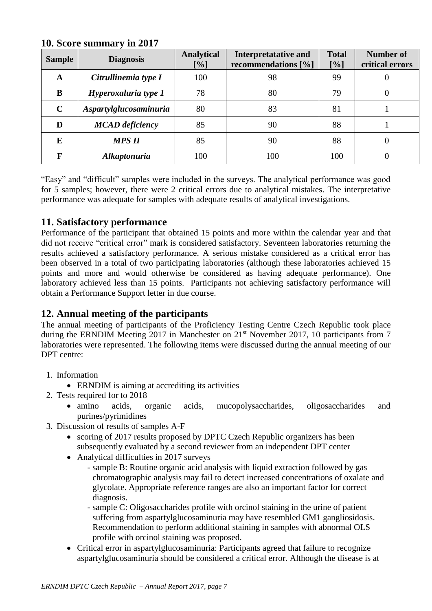| <b>Sample</b> | <b>Diagnosis</b>           | <b>Analytical</b><br>$[\%]$ | <b>Interpretatative and</b><br>recommendations [%] | <b>Total</b><br>[%] | <b>Number of</b><br>critical errors |
|---------------|----------------------------|-----------------------------|----------------------------------------------------|---------------------|-------------------------------------|
| A             | Citrullinemia type I       | 100                         | 98                                                 | 99                  | U                                   |
| B             | Hyperoxaluria type 1       | 78                          | 80                                                 | 79                  | O                                   |
| $\mathbf C$   | Aspartylglucosaminuria     | 80                          | 83                                                 | 81                  |                                     |
| D             | <b>MCAD</b> deficiency     | 85                          | 90                                                 | 88                  |                                     |
| E             | <b>MPS II</b>              | 85                          | 90                                                 | 88                  | $\cup$                              |
|               | <i><b>Alkaptonuria</b></i> | 100                         | 100                                                | 100                 |                                     |

## **10. Score summary in 2017**

"Easy" and "difficult" samples were included in the surveys. The analytical performance was good for 5 samples; however, there were 2 critical errors due to analytical mistakes. The interpretative performance was adequate for samples with adequate results of analytical investigations.

# **11. Satisfactory performance**

Performance of the participant that obtained 15 points and more within the calendar year and that did not receive "critical error" mark is considered satisfactory. Seventeen laboratories returning the results achieved a satisfactory performance. A serious mistake considered as a critical error has been observed in a total of two participating laboratories (although these laboratories achieved 15 points and more and would otherwise be considered as having adequate performance). One laboratory achieved less than 15 points. Participants not achieving satisfactory performance will obtain a Performance Support letter in due course.

# **12. Annual meeting of the participants**

The annual meeting of participants of the Proficiency Testing Centre Czech Republic took place during the ERNDIM Meeting 2017 in Manchester on 21<sup>st</sup> November 2017, 10 participants from 7 laboratories were represented. The following items were discussed during the annual meeting of our DPT centre:

- 1. Information
	- ERNDIM is aiming at accrediting its activities
- 2. Tests required for to 2018
	- amino acids, organic acids, mucopolysaccharides, oligosaccharides and purines/pyrimidines
- 3. Discussion of results of samples A-F
	- scoring of 2017 results proposed by DPTC Czech Republic organizers has been subsequently evaluated by a second reviewer from an independent DPT center
	- Analytical difficulties in 2017 surveys
		- sample B: Routine organic acid analysis with liquid extraction followed by gas chromatographic analysis may fail to detect increased concentrations of oxalate and glycolate. Appropriate reference ranges are also an important factor for correct diagnosis.
		- sample C: Oligosaccharides profile with orcinol staining in the urine of patient suffering from aspartylglucosaminuria may have resembled GM1 gangliosidosis. Recommendation to perform additional staining in samples with abnormal OLS profile with orcinol staining was proposed.
	- Critical error in aspartylglucosaminuria: Participants agreed that failure to recognize aspartylglucosaminuria should be considered a critical error. Although the disease is at